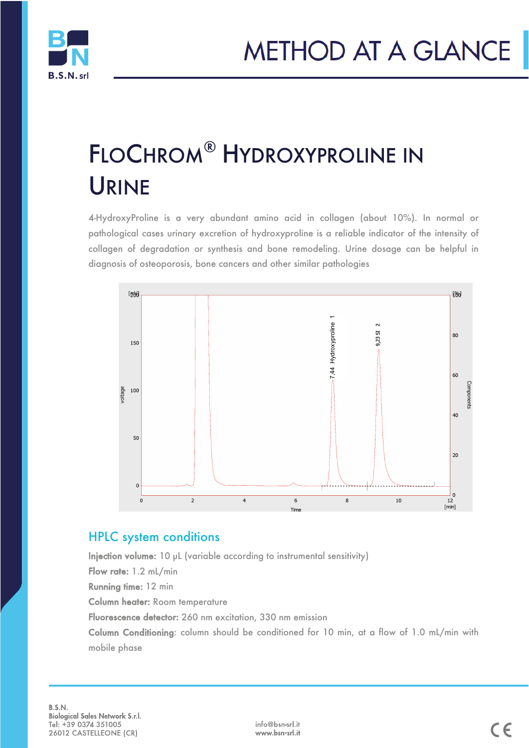



# FLOCHROM® HYDROXYPROLINE IN URINE

4-HydroxyProline is a very abundant amino acid in collagen (about 10%). In normal or pathological cases urinary excretion of hydroxyproline is a reliable indicator of the intensity of collagen of degradation or synthesis and bone remodeling. Urine dosage can be helpful in diagnosis of osteoporosis, bone cancers and other similar pathologies



#### HPLC system conditions

Injection volume: 10 µL (variable according to instrumental sensitivity) Flow rate: 1.2 mL/min Running time: 12 min Column heater: Room temperature Fluorescence detector: 260 nm excitation, 330 nm emission Column Conditioning: column should be conditioned for 10 min, at a flow of 1.0 mL/min with mobile phase